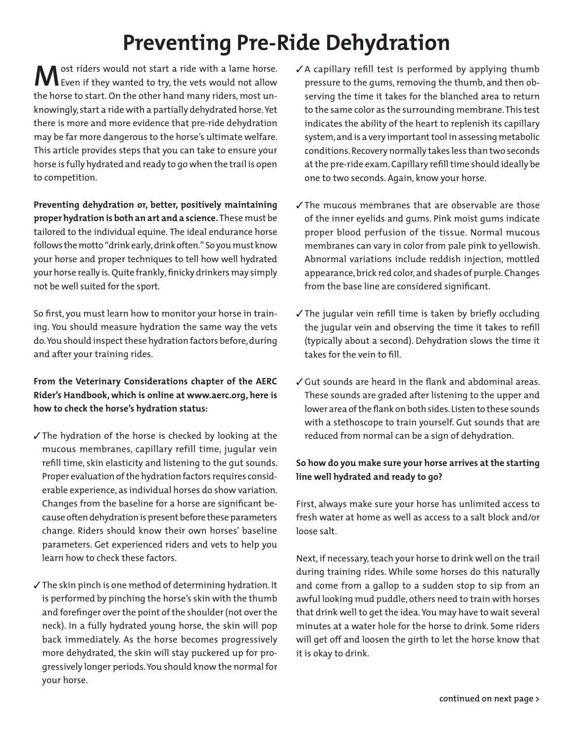## **Preventing Pre-Ride Dehydration**

**M** ost riders would not start a ride with a lame horse.<br>Even if they wanted to try, the vets would not allow the horse to start. On the other hand many riders, most unknowingly, start a ride with a partially dehydrated horse. Yet there is more and more evidence that pre-ride dehydration may be far more dangerous to the horse's ultimate welfare. This article provides steps that you can take to ensure your horse is fully hydrated and ready to go when the trail is open to competition.

**Preventing dehydration or, better, positively maintaining proper hydration is both an art and a science.** These must be tailored to the individual equine. The ideal endurance horse follows the motto "drink early, drink often." So you must know your horse and proper techniques to tell how well hydrated your horse really is. Quite frankly, finicky drinkers may simply not be well suited for the sport.

So first, you must learn how to monitor your horse in training. You should measure hydration the same way the vets do. You should inspect these hydration factors before, during and after your training rides.

## **From the Veterinary Considerations chapter of the AERC Rider's Handbook, which is online at www.aerc.org, here is how to check the horse's hydration status:**

- $\checkmark$  The hydration of the horse is checked by looking at the mucous membranes, capillary refill time, jugular vein refill time, skin elasticity and listening to the gut sounds. Proper evaluation of the hydration factors requires considerable experience, as individual horses do show variation. Changes from the baseline for a horse are significant because often dehydration is present before these parameters change. Riders should know their own horses' baseline parameters. Get experienced riders and vets to help you learn how to check these factors.
- ✓ The skin pinch is one method of determining hydration. It is performed by pinching the horse's skin with the thumb and forefinger over the point of the shoulder (not over the neck). In a fully hydrated young horse, the skin will pop back immediately. As the horse becomes progressively more dehydrated, the skin will stay puckered up for progressively longer periods. You should know the normal for your horse.
- $\sqrt{2}$  A capillary refill test is performed by applying thumb pressure to the gums, removing the thumb, and then observing the time it takes for the blanched area to return to the same color as the surrounding membrane. This test indicates the ability of the heart to replenish its capillary system, and is a very important tool in assessing metabolic conditions. Recovery normally takes less than two seconds at the pre-ride exam. Capillary refill time should ideally be one to two seconds. Again, know your horse.
- $\sqrt{\ }$ The mucous membranes that are observable are those of the inner eyelids and gums. Pink moist gums indicate proper blood perfusion of the tissue. Normal mucous membranes can vary in color from pale pink to yellowish. Abnormal variations include reddish injection, mottled appearance, brick red color, and shades of purple. Changes from the base line are considered significant.
- $\checkmark$  The jugular vein refill time is taken by briefly occluding the jugular vein and observing the time it takes to refill (typically about a second). Dehydration slows the time it takes for the vein to fill.
- ✓ Gut sounds are heard in the flank and abdominal areas. These sounds are graded after listening to the upper and lower area of the flank on both sides. Listen to these sounds with a stethoscope to train yourself. Gut sounds that are reduced from normal can be a sign of dehydration.

## **So how do you make sure your horse arrives at the starting line well hydrated and ready to go?**

First, always make sure your horse has unlimited access to fresh water at home as well as access to a salt block and/or loose salt.

Next, if necessary, teach your horse to drink well on the trail during training rides. While some horses do this naturally and come from a gallop to a sudden stop to sip from an awful looking mud puddle, others need to train with horses that drink well to get the idea. You may have to wait several minutes at a water hole for the horse to drink. Some riders will get off and loosen the girth to let the horse know that it is okay to drink.